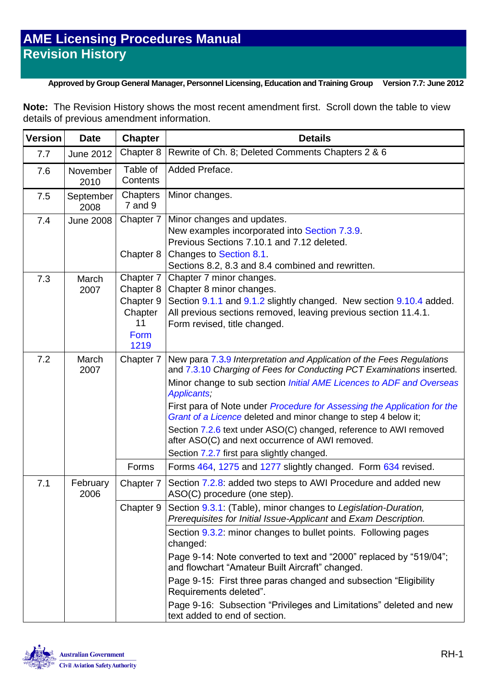#### **Approved by Group General Manager, Personnel Licensing, Education and Training Group Version 7.7: June 2012**

**Note:** The Revision History shows the most recent amendment first. Scroll down the table to view details of previous amendment information.

| <b>Version</b> | <b>Date</b>       | <b>Chapter</b>                                                       | <b>Details</b>                                                                                                                                                                                                                                                                                                                                                                                                                                                                                                                                                     |
|----------------|-------------------|----------------------------------------------------------------------|--------------------------------------------------------------------------------------------------------------------------------------------------------------------------------------------------------------------------------------------------------------------------------------------------------------------------------------------------------------------------------------------------------------------------------------------------------------------------------------------------------------------------------------------------------------------|
| 7.7            | <b>June 2012</b>  | Chapter 8                                                            | Rewrite of Ch. 8; Deleted Comments Chapters 2 & 6                                                                                                                                                                                                                                                                                                                                                                                                                                                                                                                  |
| 7.6            | November<br>2010  | Table of<br>Contents                                                 | Added Preface.                                                                                                                                                                                                                                                                                                                                                                                                                                                                                                                                                     |
| 7.5            | September<br>2008 | Chapters<br>7 and 9                                                  | Minor changes.                                                                                                                                                                                                                                                                                                                                                                                                                                                                                                                                                     |
| 7.4            | <b>June 2008</b>  | Chapter 7<br>Chapter 8                                               | Minor changes and updates.<br>New examples incorporated into Section 7.3.9.<br>Previous Sections 7.10.1 and 7.12 deleted.<br>Changes to Section 8.1.<br>Sections 8.2, 8.3 and 8.4 combined and rewritten.                                                                                                                                                                                                                                                                                                                                                          |
| 7.3            | March<br>2007     | Chapter 7<br>Chapter 8<br>Chapter 9<br>Chapter<br>11<br>Form<br>1219 | Chapter 7 minor changes.<br>Chapter 8 minor changes.<br>Section 9.1.1 and 9.1.2 slightly changed. New section 9.10.4 added.<br>All previous sections removed, leaving previous section 11.4.1.<br>Form revised, title changed.                                                                                                                                                                                                                                                                                                                                     |
| 7.2            | March<br>2007     | Chapter 7                                                            | New para 7.3.9 Interpretation and Application of the Fees Regulations<br>and 7.3.10 Charging of Fees for Conducting PCT Examinations inserted.<br>Minor change to sub section <i>Initial AME Licences to ADF and Overseas</i><br>Applicants;<br>First para of Note under Procedure for Assessing the Application for the<br>Grant of a Licence deleted and minor change to step 4 below it;<br>Section 7.2.6 text under ASO(C) changed, reference to AWI removed<br>after ASO(C) and next occurrence of AWI removed.<br>Section 7.2.7 first para slightly changed. |
|                |                   | Forms                                                                | Forms 464, 1275 and 1277 slightly changed. Form 634 revised.                                                                                                                                                                                                                                                                                                                                                                                                                                                                                                       |
| 7.1            | February<br>2006  | Chapter 7                                                            | Section 7.2.8: added two steps to AWI Procedure and added new<br>ASO(C) procedure (one step).                                                                                                                                                                                                                                                                                                                                                                                                                                                                      |
|                |                   | Chapter 9                                                            | Section 9.3.1: (Table), minor changes to Legislation-Duration,<br>Prerequisites for Initial Issue-Applicant and Exam Description.                                                                                                                                                                                                                                                                                                                                                                                                                                  |
|                |                   |                                                                      | Section 9.3.2: minor changes to bullet points. Following pages<br>changed:<br>Page 9-14: Note converted to text and "2000" replaced by "519/04";<br>and flowchart "Amateur Built Aircraft" changed.<br>Page 9-15: First three paras changed and subsection "Eligibility"<br>Requirements deleted".<br>Page 9-16: Subsection "Privileges and Limitations" deleted and new<br>text added to end of section.                                                                                                                                                          |

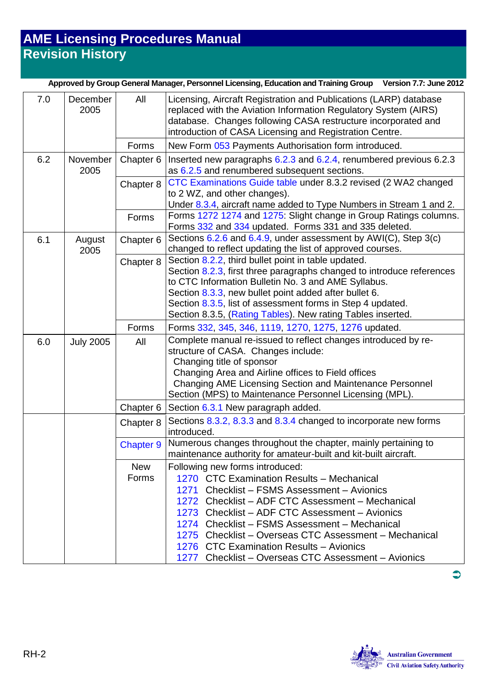| Approved by Group General Manager, Personnel Licensing, Education and Training Group Version 7.7: June 2012 |                  |                        |                                                                                                                                                                                                                                                                                                                                                                                                                                               |
|-------------------------------------------------------------------------------------------------------------|------------------|------------------------|-----------------------------------------------------------------------------------------------------------------------------------------------------------------------------------------------------------------------------------------------------------------------------------------------------------------------------------------------------------------------------------------------------------------------------------------------|
| 7.0                                                                                                         | December<br>2005 | All                    | Licensing, Aircraft Registration and Publications (LARP) database<br>replaced with the Aviation Information Regulatory System (AIRS)<br>database. Changes following CASA restructure incorporated and<br>introduction of CASA Licensing and Registration Centre.                                                                                                                                                                              |
|                                                                                                             |                  | Forms                  | New Form 053 Payments Authorisation form introduced.                                                                                                                                                                                                                                                                                                                                                                                          |
| 6.2                                                                                                         | November<br>2005 | Chapter 6<br>Chapter 8 | Inserted new paragraphs 6.2.3 and 6.2.4, renumbered previous 6.2.3<br>as 6.2.5 and renumbered subsequent sections.<br>CTC Examinations Guide table under 8.3.2 revised (2 WA2 changed<br>to 2 WZ, and other changes).                                                                                                                                                                                                                         |
|                                                                                                             |                  | Forms                  | Under 8.3.4, aircraft name added to Type Numbers in Stream 1 and 2.<br>Forms 1272 1274 and 1275: Slight change in Group Ratings columns.<br>Forms 332 and 334 updated. Forms 331 and 335 deleted.                                                                                                                                                                                                                                             |
| 6.1                                                                                                         | August<br>2005   | Chapter 6              | Sections 6.2.6 and 6.4.9, under assessment by AWI(C), Step 3(c)<br>changed to reflect updating the list of approved courses.                                                                                                                                                                                                                                                                                                                  |
|                                                                                                             |                  | Chapter 8              | Section 8.2.2, third bullet point in table updated.<br>Section 8.2.3, first three paragraphs changed to introduce references<br>to CTC Information Bulletin No. 3 and AME Syllabus.<br>Section 8.3.3, new bullet point added after bullet 6.<br>Section 8.3.5, list of assessment forms in Step 4 updated.<br>Section 8.3.5, (Rating Tables). New rating Tables inserted.                                                                     |
|                                                                                                             |                  | Forms                  | Forms 332, 345, 346, 1119, 1270, 1275, 1276 updated.                                                                                                                                                                                                                                                                                                                                                                                          |
| 6.0                                                                                                         | <b>July 2005</b> | All                    | Complete manual re-issued to reflect changes introduced by re-<br>structure of CASA. Changes include:<br>Changing title of sponsor<br>Changing Area and Airline offices to Field offices<br>Changing AME Licensing Section and Maintenance Personnel<br>Section (MPS) to Maintenance Personnel Licensing (MPL).                                                                                                                               |
|                                                                                                             |                  | Chapter 6              | Section 6.3.1 New paragraph added.                                                                                                                                                                                                                                                                                                                                                                                                            |
|                                                                                                             |                  | Chapter 8              | Sections 8.3.2, 8.3.3 and 8.3.4 changed to incorporate new forms<br>introduced.<br>Numerous changes throughout the chapter, mainly pertaining to                                                                                                                                                                                                                                                                                              |
|                                                                                                             |                  | <b>Chapter 9</b>       | maintenance authority for amateur-built and kit-built aircraft.                                                                                                                                                                                                                                                                                                                                                                               |
|                                                                                                             |                  | <b>New</b><br>Forms    | Following new forms introduced:<br>1270 CTC Examination Results - Mechanical<br>1271 Checklist - FSMS Assessment - Avionics<br>1272 Checklist - ADF CTC Assessment - Mechanical<br>1273 Checklist - ADF CTC Assessment - Avionics<br>1274 Checklist - FSMS Assessment - Mechanical<br>1275 Checklist – Overseas CTC Assessment – Mechanical<br>1276 CTC Examination Results - Avionics<br>1277 Checklist - Overseas CTC Assessment - Avionics |



 $\bullet$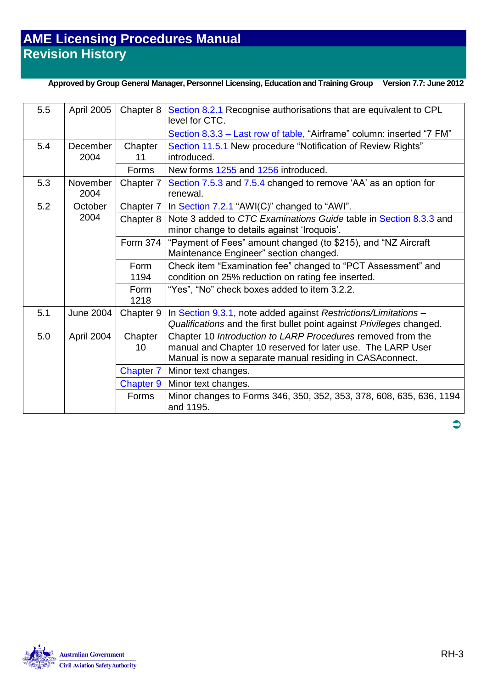#### **Approved by Group General Manager, Personnel Licensing, Education and Training Group Version 7.7: June 2012**

| 5.5 | April 2005              | Chapter 8        | Section 8.2.1 Recognise authorisations that are equivalent to CPL<br>level for CTC.                                                                                                     |
|-----|-------------------------|------------------|-----------------------------------------------------------------------------------------------------------------------------------------------------------------------------------------|
|     |                         |                  | Section 8.3.3 - Last row of table, "Airframe" column: inserted "7 FM"                                                                                                                   |
| 5.4 | <b>December</b><br>2004 | Chapter<br>11    | Section 11.5.1 New procedure "Notification of Review Rights"<br>introduced.                                                                                                             |
|     |                         | Forms            | New forms 1255 and 1256 introduced.                                                                                                                                                     |
| 5.3 | November<br>2004        | Chapter 7        | Section 7.5.3 and 7.5.4 changed to remove 'AA' as an option for<br>renewal.                                                                                                             |
| 5.2 | October                 | Chapter 7        | In Section 7.2.1 "AWI(C)" changed to "AWI".                                                                                                                                             |
|     | 2004                    | Chapter 8        | Note 3 added to CTC Examinations Guide table in Section 8.3.3 and<br>minor change to details against 'Iroquois'.                                                                        |
|     |                         | Form 374         | "Payment of Fees" amount changed (to \$215), and "NZ Aircraft<br>Maintenance Engineer" section changed.                                                                                 |
|     |                         | Form<br>1194     | Check item "Examination fee" changed to "PCT Assessment" and<br>condition on 25% reduction on rating fee inserted.                                                                      |
|     |                         | Form<br>1218     | "Yes", "No" check boxes added to item 3.2.2.                                                                                                                                            |
| 5.1 | June 2004               | Chapter 9        | In Section 9.3.1, note added against Restrictions/Limitations -<br>Qualifications and the first bullet point against Privileges changed.                                                |
| 5.0 | April 2004              | Chapter<br>10    | Chapter 10 Introduction to LARP Procedures removed from the<br>manual and Chapter 10 reserved for later use. The LARP User<br>Manual is now a separate manual residing in CASA connect. |
|     |                         | <b>Chapter 7</b> | Minor text changes.                                                                                                                                                                     |
|     |                         | <b>Chapter 9</b> | Minor text changes.                                                                                                                                                                     |
|     |                         | <b>Forms</b>     | Minor changes to Forms 346, 350, 352, 353, 378, 608, 635, 636, 1194<br>and 1195.                                                                                                        |



 $\bullet$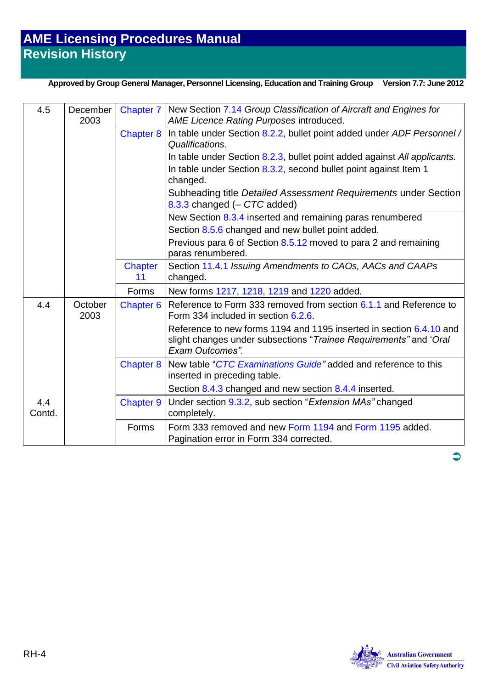#### **Approved by Group General Manager, Personnel Licensing, Education and Training Group Version 7.7: June 2012**

| 4.5           | December<br>2003 | Chapter 7            | New Section 7.14 Group Classification of Aircraft and Engines for<br><b>AME Licence Rating Purposes introduced.</b>                                         |
|---------------|------------------|----------------------|-------------------------------------------------------------------------------------------------------------------------------------------------------------|
|               |                  | <b>Chapter 8</b>     | In table under Section 8.2.2, bullet point added under ADF Personnel /<br>Qualifications.                                                                   |
|               |                  |                      | In table under Section 8.2.3, bullet point added against All applicants.                                                                                    |
|               |                  |                      | In table under Section 8.3.2, second bullet point against Item 1<br>changed.                                                                                |
|               |                  |                      | Subheading title Detailed Assessment Requirements under Section<br>8.3.3 changed (- CTC added)                                                              |
|               |                  |                      | New Section 8.3.4 inserted and remaining paras renumbered<br>Section 8.5.6 changed and new bullet point added.                                              |
|               |                  |                      | Previous para 6 of Section 8.5.12 moved to para 2 and remaining<br>paras renumbered.                                                                        |
|               |                  | <b>Chapter</b><br>11 | Section 11.4.1 Issuing Amendments to CAOs, AACs and CAAPs<br>changed.                                                                                       |
|               |                  | Forms                | New forms 1217, 1218, 1219 and 1220 added.                                                                                                                  |
| 4.4           | October<br>2003  | Chapter 6            | Reference to Form 333 removed from section 6.1.1 and Reference to<br>Form 334 included in section 6.2.6.                                                    |
|               |                  |                      | Reference to new forms 1194 and 1195 inserted in section 6.4.10 and<br>slight changes under subsections "Trainee Requirements" and 'Oral<br>Exam Outcomes". |
|               |                  | <b>Chapter 8</b>     | New table "CTC Examinations Guide" added and reference to this<br>inserted in preceding table.                                                              |
|               |                  |                      | Section 8.4.3 changed and new section 8.4.4 inserted.                                                                                                       |
| 4.4<br>Contd. |                  | <b>Chapter 9</b>     | Under section 9.3.2, sub section "Extension MAs" changed<br>completely.                                                                                     |
|               |                  | Forms                | Form 333 removed and new Form 1194 and Form 1195 added.<br>Pagination error in Form 334 corrected.                                                          |



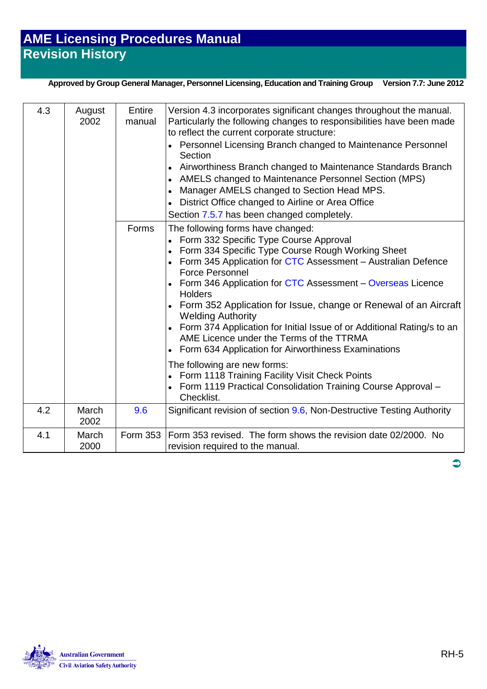**Approved by Group General Manager, Personnel Licensing, Education and Training Group Version 7.7: June 2012**

| 4.3 | August<br>2002 | Entire<br>manual<br>Forms | Version 4.3 incorporates significant changes throughout the manual.<br>Particularly the following changes to responsibilities have been made<br>to reflect the current corporate structure:<br>Personnel Licensing Branch changed to Maintenance Personnel<br>Section<br>Airworthiness Branch changed to Maintenance Standards Branch<br>AMELS changed to Maintenance Personnel Section (MPS)<br>$\bullet$<br>Manager AMELS changed to Section Head MPS.<br>District Office changed to Airline or Area Office<br>Section 7.5.7 has been changed completely.<br>The following forms have changed: |
|-----|----------------|---------------------------|--------------------------------------------------------------------------------------------------------------------------------------------------------------------------------------------------------------------------------------------------------------------------------------------------------------------------------------------------------------------------------------------------------------------------------------------------------------------------------------------------------------------------------------------------------------------------------------------------|
|     |                |                           | Form 332 Specific Type Course Approval<br>Form 334 Specific Type Course Rough Working Sheet<br>Form 345 Application for CTC Assessment - Australian Defence<br><b>Force Personnel</b><br>Form 346 Application for CTC Assessment - Overseas Licence<br>Holders<br>Form 352 Application for Issue, change or Renewal of an Aircraft<br><b>Welding Authority</b><br>Form 374 Application for Initial Issue of or Additional Rating/s to an<br>AME Licence under the Terms of the TTRMA<br>Form 634 Application for Airworthiness Examinations                                                      |
|     |                |                           | The following are new forms:<br>Form 1118 Training Facility Visit Check Points<br>Form 1119 Practical Consolidation Training Course Approval -<br>Checklist.                                                                                                                                                                                                                                                                                                                                                                                                                                     |
| 4.2 | March<br>2002  | 9.6                       | Significant revision of section 9.6, Non-Destructive Testing Authority                                                                                                                                                                                                                                                                                                                                                                                                                                                                                                                           |
| 4.1 | March<br>2000  | <b>Form 353</b>           | Form 353 revised. The form shows the revision date 02/2000. No<br>revision required to the manual.                                                                                                                                                                                                                                                                                                                                                                                                                                                                                               |



 $\bullet$